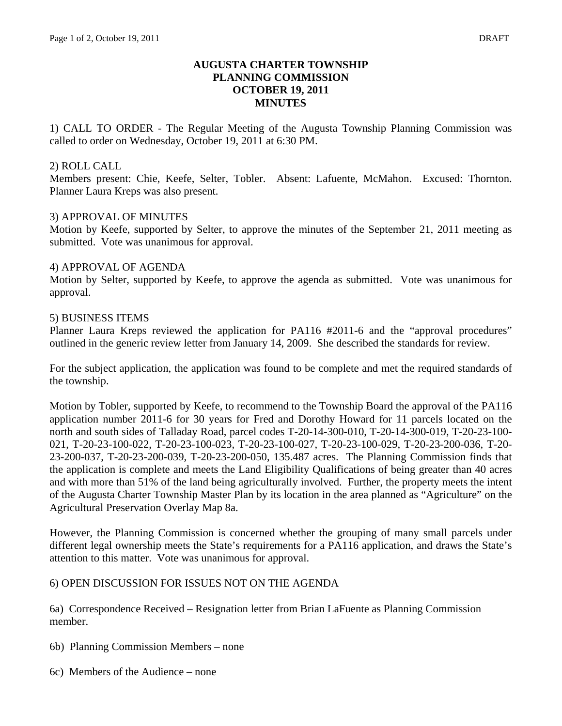# **AUGUSTA CHARTER TOWNSHIP PLANNING COMMISSION OCTOBER 19, 2011 MINUTES**

1) CALL TO ORDER - The Regular Meeting of the Augusta Township Planning Commission was called to order on Wednesday, October 19, 2011 at 6:30 PM.

### 2) ROLL CALL

Members present: Chie, Keefe, Selter, Tobler. Absent: Lafuente, McMahon. Excused: Thornton. Planner Laura Kreps was also present.

### 3) APPROVAL OF MINUTES

Motion by Keefe, supported by Selter, to approve the minutes of the September 21, 2011 meeting as submitted. Vote was unanimous for approval.

### 4) APPROVAL OF AGENDA

Motion by Selter, supported by Keefe, to approve the agenda as submitted. Vote was unanimous for approval.

### 5) BUSINESS ITEMS

Planner Laura Kreps reviewed the application for PA116 #2011-6 and the "approval procedures" outlined in the generic review letter from January 14, 2009. She described the standards for review.

For the subject application, the application was found to be complete and met the required standards of the township.

Motion by Tobler, supported by Keefe, to recommend to the Township Board the approval of the PA116 application number 2011-6 for 30 years for Fred and Dorothy Howard for 11 parcels located on the north and south sides of Talladay Road, parcel codes T-20-14-300-010, T-20-14-300-019, T-20-23-100- 021, T-20-23-100-022, T-20-23-100-023, T-20-23-100-027, T-20-23-100-029, T-20-23-200-036, T-20- 23-200-037, T-20-23-200-039, T-20-23-200-050, 135.487 acres. The Planning Commission finds that the application is complete and meets the Land Eligibility Qualifications of being greater than 40 acres and with more than 51% of the land being agriculturally involved. Further, the property meets the intent of the Augusta Charter Township Master Plan by its location in the area planned as "Agriculture" on the Agricultural Preservation Overlay Map 8a.

However, the Planning Commission is concerned whether the grouping of many small parcels under different legal ownership meets the State's requirements for a PA116 application, and draws the State's attention to this matter. Vote was unanimous for approval.

## 6) OPEN DISCUSSION FOR ISSUES NOT ON THE AGENDA

6a) Correspondence Received – Resignation letter from Brian LaFuente as Planning Commission member.

- 6b) Planning Commission Members none
- 6c) Members of the Audience none